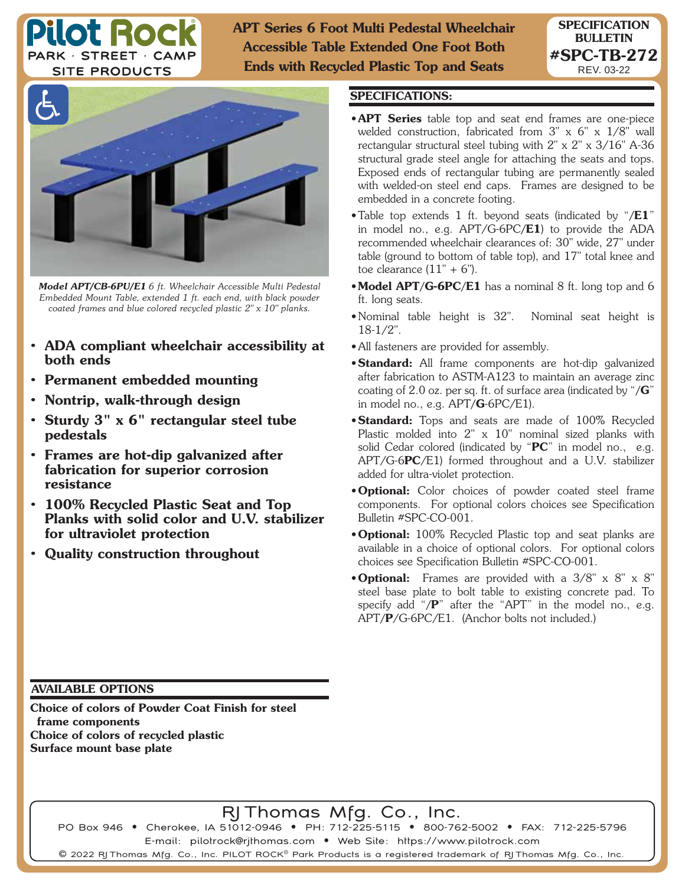

**APT Series 6 Foot Multi Pedestal Wheelchair Accessible Table Extended One Foot Both Ends with Recycled Plastic Top and Seats**



*Model APT/CB-6PU/E1 6 ft. Wheelchair Accessible Multi Pedestal Embedded Mount Table, extended 1 ft. each end, with black powder coated frames and blue colored recycled plastic 2" x 10" planks.*

- **ADA compliant wheelchair accessibility at both ends**
- **Permanent embedded mounting**
- **Nontrip, walk-through design**
- **Sturdy 3" x 6" rectangular steel tube pedestals**
- **Frames are hot-dip galvanized after fabrication for superior corrosion resistance**
- **100% Recycled Plastic Seat and Top Planks with solid color and U.V. stabilizer for ultraviolet protection**
- **Quality construction throughout**

## **SPECIFICATIONS:**

• **APT Series** table top and seat end frames are one-piece welded construction, fabricated from 3" x 6" x 1/8" wall rectangular structural steel tubing with 2" x 2" x 3/16" A-36 structural grade steel angle for attaching the seats and tops. Exposed ends of rectangular tubing are permanently sealed with welded-on steel end caps. Frames are designed to be embedded in a concrete footing.

**SPECIFICATION BULLETIN #SPC-TB-272** REV. 03-22

- Table top extends 1 ft. beyond seats (indicated by "**/E1**" in model no., e.g. APT/G-6PC**/E1**) to provide the ADA recommended wheelchair clearances of: 30" wide, 27" under table (ground to bottom of table top), and 17" total knee and toe clearance  $(11" + 6")$ .
- **Model APT/G-6PC/E1** has a nominal 8 ft. long top and 6 ft. long seats.
- Nominal table height is 32". Nominal seat height is 18-1/2".
- All fasteners are provided for assembly.
- **Standard:** All frame components are hot-dip galvanized after fabrication to ASTM-A123 to maintain an average zinc coating of 2.0 oz. per sq. ft. of surface area (indicated by "**/G**" in model no., e.g. APT**/G**-6PC/E1).
- **Standard:** Tops and seats are made of 100% Recycled Plastic molded into 2" x 10" nominal sized planks with solid Cedar colored (indicated by "**PC**" in model no., e.g. APT/G-6**PC**/E1) formed throughout and a U.V. stabilizer added for ultra-violet protection.
- **Optional:** Color choices of powder coated steel frame components. For optional colors choices see Specification Bulletin #SPC-CO-001.
- **Optional:** 100% Recycled Plastic top and seat planks are available in a choice of optional colors. For optional colors choices see Specification Bulletin #SPC-CO-001.
- **Optional:** Frames are provided with a 3/8" x 8" x 8" steel base plate to bolt table to existing concrete pad. To specify add "**/P**" after the "APT" in the model no., e.g. APT**/P**/G-6PC/E1. (Anchor bolts not included.)

## **AVAILABLE OPTIONS**

**Choice of colors of Powder Coat Finish for steel frame components Choice of colors of recycled plastic Surface mount base plate**

RJ Thomas Mfg. Co., Inc.

PO Box 946 • Cherokee, IA 51012-0946 • PH: 712-225-5115 • 800-762-5002 • FAX: 712-225-5796 E-mail: pilotrock@rjthomas.com • Web Site: https://www.pilotrock.com

 $\mathsf{\Theta}$  2022 RJ Thomas Mfg. Co., Inc. PILOT ROCK $^{\circ}$  Park Products is a registered trademark of RJ Thomas Mfg. Co., Inc.